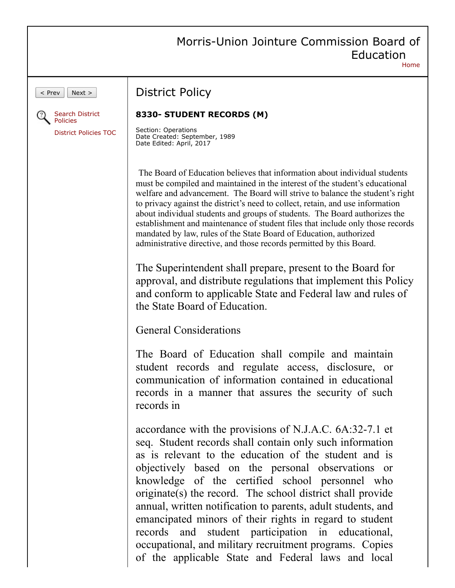|                                              | Morris-Union Jointure Commission Board of<br>Education<br>Home                                                                                                                                                                                                                                                                                                                                                                                                                                                                                                                                                                                                                                            |
|----------------------------------------------|-----------------------------------------------------------------------------------------------------------------------------------------------------------------------------------------------------------------------------------------------------------------------------------------------------------------------------------------------------------------------------------------------------------------------------------------------------------------------------------------------------------------------------------------------------------------------------------------------------------------------------------------------------------------------------------------------------------|
| $<$ Prev<br>Next ><br><b>Search District</b> | <b>District Policy</b><br>8330- STUDENT RECORDS (M)                                                                                                                                                                                                                                                                                                                                                                                                                                                                                                                                                                                                                                                       |
| Policies<br><b>District Policies TOC</b>     | Section: Operations<br>Date Created: September, 1989<br>Date Edited: April, 2017                                                                                                                                                                                                                                                                                                                                                                                                                                                                                                                                                                                                                          |
|                                              | The Board of Education believes that information about individual students<br>must be compiled and maintained in the interest of the student's educational<br>welfare and advancement. The Board will strive to balance the student's right<br>to privacy against the district's need to collect, retain, and use information<br>about individual students and groups of students. The Board authorizes the<br>establishment and maintenance of student files that include only those records<br>mandated by law, rules of the State Board of Education, authorized<br>administrative directive, and those records permitted by this Board.<br>The Superintendent shall prepare, present to the Board for |
|                                              | approval, and distribute regulations that implement this Policy<br>and conform to applicable State and Federal law and rules of<br>the State Board of Education.                                                                                                                                                                                                                                                                                                                                                                                                                                                                                                                                          |
|                                              | <b>General Considerations</b>                                                                                                                                                                                                                                                                                                                                                                                                                                                                                                                                                                                                                                                                             |
|                                              | The Board of Education shall compile and maintain<br>student records and regulate access, disclosure, or<br>communication of information contained in educational<br>records in a manner that assures the security of such<br>records in                                                                                                                                                                                                                                                                                                                                                                                                                                                                  |
|                                              | accordance with the provisions of N.J.A.C. 6A:32-7.1 et<br>seq. Student records shall contain only such information<br>as is relevant to the education of the student and is<br>objectively based on the personal observations or<br>knowledge of the certified school personnel who<br>originate(s) the record. The school district shall provide<br>annual, written notification to parents, adult students, and<br>emancipated minors of their rights in regard to student<br>student participation in educational,<br>records and<br>occupational, and military recruitment programs. Copies<br>of the applicable State and Federal laws and local                                                    |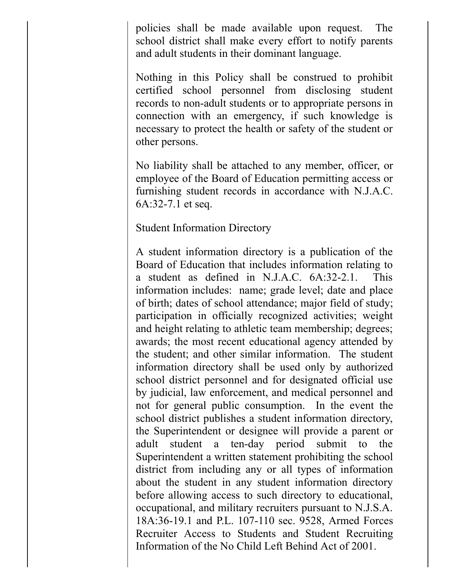policies shall be made available upon request. The school district shall make every effort to notify parents and adult students in their dominant language.

Nothing in this Policy shall be construed to prohibit certified school personnel from disclosing student records to non-adult students or to appropriate persons in connection with an emergency, if such knowledge is necessary to protect the health or safety of the student or other persons.

No liability shall be attached to any member, officer, or employee of the Board of Education permitting access or furnishing student records in accordance with N.J.A.C. 6A:32-7.1 et seq.

## Student Information Directory

A student information directory is a publication of the Board of Education that includes information relating to a student as defined in N.J.A.C. 6A:32-2.1. This information includes: name; grade level; date and place of birth; dates of school attendance; major field of study; participation in officially recognized activities; weight and height relating to athletic team membership; degrees; awards; the most recent educational agency attended by the student; and other similar information. The student information directory shall be used only by authorized school district personnel and for designated official use by judicial, law enforcement, and medical personnel and not for general public consumption. In the event the school district publishes a student information directory, the Superintendent or designee will provide a parent or adult student a ten-day period submit to the Superintendent a written statement prohibiting the school district from including any or all types of information about the student in any student information directory before allowing access to such directory to educational, occupational, and military recruiters pursuant to N.J.S.A. 18A:36-19.1 and P.L. 107-110 sec. 9528, Armed Forces Recruiter Access to Students and Student Recruiting Information of the No Child Left Behind Act of 2001.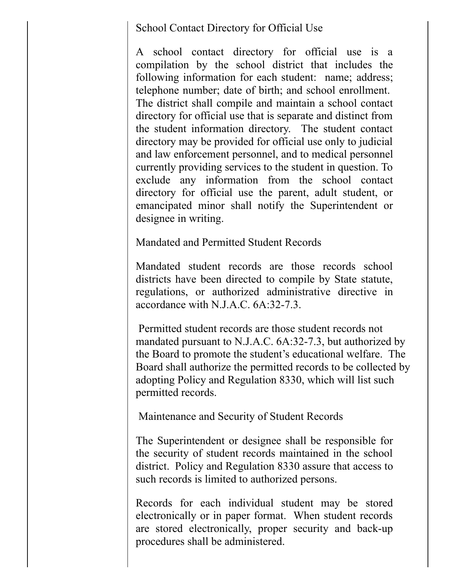School Contact Directory for Official Use

A school contact directory for official use is a compilation by the school district that includes the following information for each student: name; address; telephone number; date of birth; and school enrollment. The district shall compile and maintain a school contact directory for official use that is separate and distinct from the student information directory. The student contact directory may be provided for official use only to judicial and law enforcement personnel, and to medical personnel currently providing services to the student in question. To exclude any information from the school contact directory for official use the parent, adult student, or emancipated minor shall notify the Superintendent or designee in writing.

Mandated and Permitted Student Records

Mandated student records are those records school districts have been directed to compile by State statute, regulations, or authorized administrative directive in accordance with N.J.A.C. 6A:32-7.3.

Permitted student records are those student records not mandated pursuant to N.J.A.C. 6A:32-7.3, but authorized by the Board to promote the student's educational welfare. The Board shall authorize the permitted records to be collected by adopting Policy and Regulation 8330, which will list such permitted records.

Maintenance and Security of Student Records

The Superintendent or designee shall be responsible for the security of student records maintained in the school district. Policy and Regulation 8330 assure that access to such records is limited to authorized persons.

Records for each individual student may be stored electronically or in paper format. When student records are stored electronically, proper security and back-up procedures shall be administered.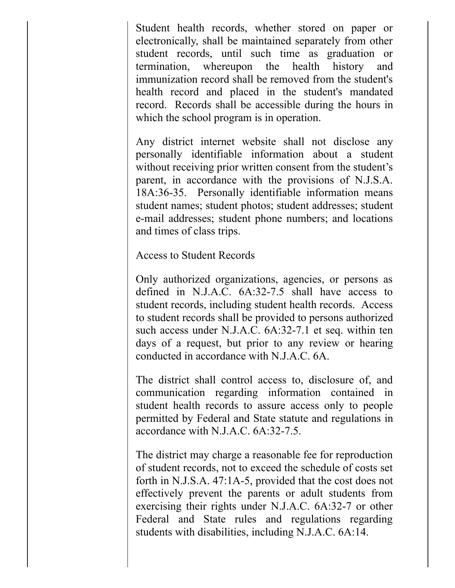Student health records, whether stored on paper or electronically, shall be maintained separately from other student records, until such time as graduation or termination, whereupon the health history and immunization record shall be removed from the student's health record and placed in the student's mandated record. Records shall be accessible during the hours in which the school program is in operation.

Any district internet website shall not disclose any personally identifiable information about a student without receiving prior written consent from the student's parent, in accordance with the provisions of N.J.S.A. 18A:36-35. Personally identifiable information means student names; student photos; student addresses; student e-mail addresses; student phone numbers; and locations and times of class trips.

Access to Student Records

Only authorized organizations, agencies, or persons as defined in N.J.A.C. 6A:32-7.5 shall have access to student records, including student health records. Access to student records shall be provided to persons authorized such access under N.J.A.C. 6A:32-7.1 et seq. within ten days of a request, but prior to any review or hearing conducted in accordance with N.J.A.C. 6A.

The district shall control access to, disclosure of, and communication regarding information contained in student health records to assure access only to people permitted by Federal and State statute and regulations in accordance with N.J.A.C. 6A:32-7.5.

The district may charge a reasonable fee for reproduction of student records, not to exceed the schedule of costs set forth in N.J.S.A. 47:1A-5, provided that the cost does not effectively prevent the parents or adult students from exercising their rights under N.J.A.C. 6A:32-7 or other Federal and State rules and regulations regarding students with disabilities, including N.J.A.C. 6A:14.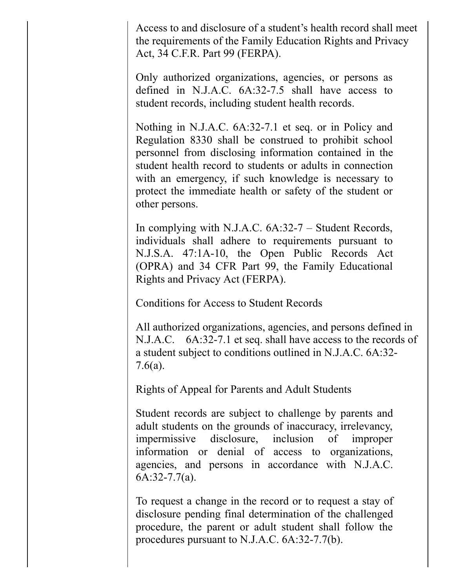Access to and disclosure of a student's health record shall meet the requirements of the Family Education Rights and Privacy Act, 34 C.F.R. Part 99 (FERPA).

Only authorized organizations, agencies, or persons as defined in N.J.A.C. 6A:32-7.5 shall have access to student records, including student health records.

Nothing in N.J.A.C. 6A:32-7.1 et seq. or in Policy and Regulation 8330 shall be construed to prohibit school personnel from disclosing information contained in the student health record to students or adults in connection with an emergency, if such knowledge is necessary to protect the immediate health or safety of the student or other persons.

In complying with N.J.A.C. 6A:32-7 – Student Records, individuals shall adhere to requirements pursuant to N.J.S.A. 47:1A-10, the Open Public Records Act (OPRA) and 34 CFR Part 99, the Family Educational Rights and Privacy Act (FERPA).

Conditions for Access to Student Records

All authorized organizations, agencies, and persons defined in N.J.A.C. 6A:32-7.1 et seq. shall have access to the records of a student subject to conditions outlined in N.J.A.C. 6A:32- 7.6(a).

Rights of Appeal for Parents and Adult Students

Student records are subject to challenge by parents and adult students on the grounds of inaccuracy, irrelevancy, impermissive disclosure, inclusion of improper information or denial of access to organizations, agencies, and persons in accordance with N.J.A.C. 6A:32-7.7(a).

To request a change in the record or to request a stay of disclosure pending final determination of the challenged procedure, the parent or adult student shall follow the procedures pursuant to N.J.A.C. 6A:32-7.7(b).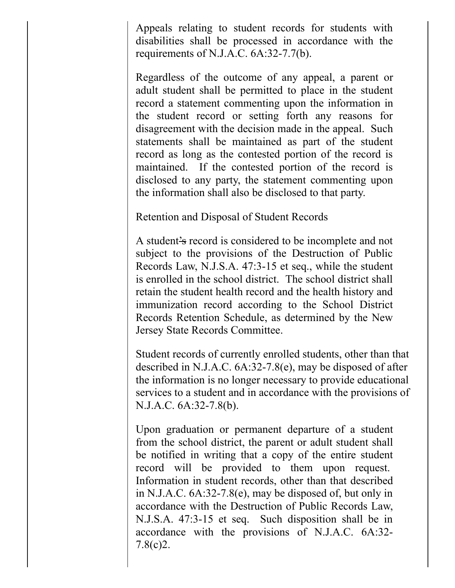Appeals relating to student records for students with disabilities shall be processed in accordance with the requirements of N.J.A.C. 6A:32-7.7(b).

Regardless of the outcome of any appeal, a parent or adult student shall be permitted to place in the student record a statement commenting upon the information in the student record or setting forth any reasons for disagreement with the decision made in the appeal. Such statements shall be maintained as part of the student record as long as the contested portion of the record is maintained. If the contested portion of the record is disclosed to any party, the statement commenting upon the information shall also be disclosed to that party.

Retention and Disposal of Student Records

A student's record is considered to be incomplete and not subject to the provisions of the Destruction of Public Records Law, N.J.S.A. 47:3-15 et seq., while the student is enrolled in the school district. The school district shall retain the student health record and the health history and immunization record according to the School District Records Retention Schedule, as determined by the New Jersey State Records Committee.

Student records of currently enrolled students, other than that described in N.J.A.C. 6A:32-7.8(e), may be disposed of after the information is no longer necessary to provide educational services to a student and in accordance with the provisions of N.J.A.C. 6A:32-7.8(b).

Upon graduation or permanent departure of a student from the school district, the parent or adult student shall be notified in writing that a copy of the entire student record will be provided to them upon request. Information in student records, other than that described in N.J.A.C. 6A:32-7.8(e), may be disposed of, but only in accordance with the Destruction of Public Records Law, N.J.S.A. 47:3-15 et seq. Such disposition shall be in accordance with the provisions of N.J.A.C. 6A:32- 7.8(c)2.